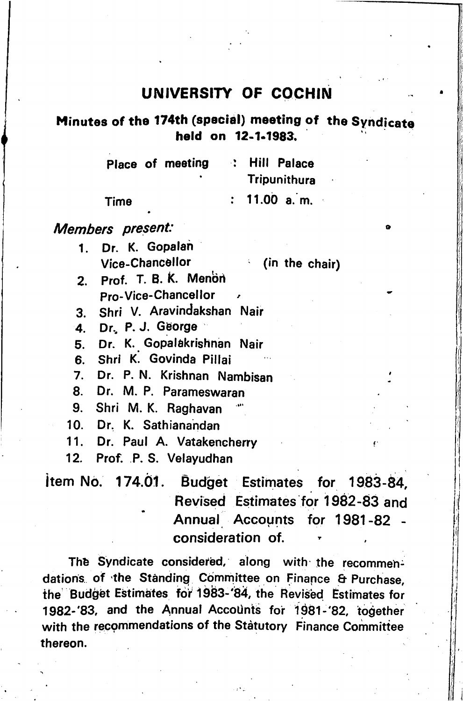## UNIVERSITY OF COCHIN

## Minutes of the 174th (special) meeting of the Syndicate held on 12-1.1983.

|      | Place of meeting | : Hill Palace |
|------|------------------|---------------|
|      | ٠                | Tripunithura  |
| Time |                  | : 11.00 a.m.  |

## Members present:

1. Dr. K. Gopalah Vlce-Chanc6llor

(in the chair)

o

I

- 2. Prof. T. B. K. Menon Pro-Vice-Chancellor
- 3. Shri V. Aravindakshan Nair
- 4. Dr., P. J. George
- 5. Dr. K. Gopalakrishnan Nair
- 6. Shri K. Govinda Pillai
- 7. Dr. P. N. Krishnan Nambisan<br>8. Dr. M. P. Parameswaran
- Dr. M. P. Parameswaran
- 9. Shri M. K. Raghavan<br>10. Dr. K. Sathianandan
- Dr. K. Sathianandan
- 11. Dr. Paul A. Vatakencherry<br>12. Prof. P.S. Velavudban
- Prof. P. S. Velayudhan

item No. 174.01. Budget Estimates for 1983-84, Revised Estimates for 1982-83 and Annual Accounts for 1981-82 consideration of.

.!●»

The Syndicate considered, along with the recommen dations of the Standing Committee on Finance & Purchase. the Budget Estimates for 1983-'84, the Revised Estimates for 1982-'83, and the Annual Accounts for 1981-'82, together with the recommendations of the Statutory Finance Committee thereon.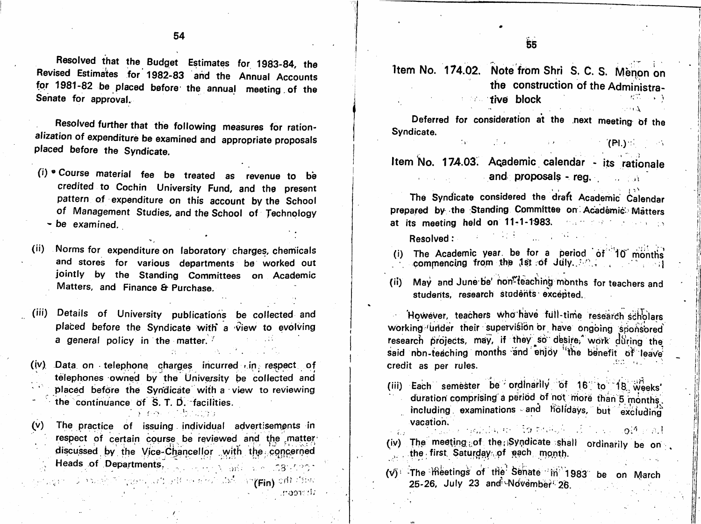Resolved that the Budget Estimates for 1983-84, the Revised Estimates for 1982-83 and the Annual Accounts for 1981-82 be placed before the annual meeting of the Senate for approval.

Resolved further that the following measures for ration alization of expenditure be examined and appropriate proposals placed before the Syndicate.

- (i) ® Course material fee be treated as revenue to be credited to Cochin University Fund, and the present pattern of expenditure on this account by the School of Management Studies, and the School of Technology - be examined.
- (ii) Norms for expenditure on laboratory charges, chemicals and stores for various departments be worked out jointly by the Standing Committees on Academic Matters, and Finance & Purchase.

(iii) Details of University publications be collected and placed before the Syndicate with a view to evolving a general policy in the matter.  $\sqrt{2}$ 

(iv) Data on telephone charges incurred  $\epsilon$  in respect of telephones owned by the University be collected and placed before the Syndicate with a view to reviewing the continuance of  $S$ . T. D. facilities. ● i\* . .

 $(v)$  The practice of issuing individual advertisements in respect of certain course be reviewed and the matter discussed by the Vice-Chancellor with the concerned . Heads of Departments,  $\frac{1}{2}$  and  $\frac{1}{2}$   $\frac{1}{2}$   $\frac{1}{2}$   $\frac{1}{2}$   $\frac{1}{2}$   $\frac{1}{2}$   $\frac{1}{2}$ 

f

Item No. 174.02. Note from Shri S, C, S. Menon on the construction of the Administra  $\mathbb{R}^n$  five block  $\mathbb{R}^n$  ,  $\mathbb{R}^n$ 

Deferred for consideration at the next meeting bf the Syndicate.

 $\mathcal{P}(\mathsf{P}(\cdot))$  :  $\mathcal{P}(\cdot)$ 

Item No. 174.03. Academic calendar - its rationale and proposals - reg.  $\mathbb{R}$  ,  $\mathbb{R}$ 

The Syndicate considered the draft Academic Calendar prepared by the Standing Committee on Academic Matters at its meeting held on 11-1-1'983.  $\mathbb{R}^2$  ; and  $\mathbb{R}^2$  is the set of  $\mathbb{R}^2$  ; and  $\mathbb{R}^2$ 

Resolved:

r. J

oor:'

- (i) The Academic year, be for a period of  $10'$  months com|Tjenclng from thp ^Ist :6f July...'' i I
- (ii) May and June be' non<sup>\*\*</sup>teaching months for teachers and students, research students excepted.

However, teachers who have full-time research scholars working under their supervision or have ongoing sponsored research projects, may, if they so desire, work during the said non-teaching months and enjoy the benefit of leave credit as per rules. ' i ..

- (iii) Each semester be ordinarily of 16" to 18, weeks' duration comprising a period of not more than 5 months. including , examinations - and holidays, but excluding vacation.<br>
vacation. The second service of the service of the service of the service of the service of the service of the
- $(iv)$  The meeting of the Syndicate shall ordinarily be on. the first. Saturday of each month. ,>.
- $\begin{array}{c|c} (8 \times 10^{10} \text{ C}) & (V) & \text{The} \end{array}$  ifter the senate in 1983 be on March chi i 1983 be on March 25-26, July 23 and November 26.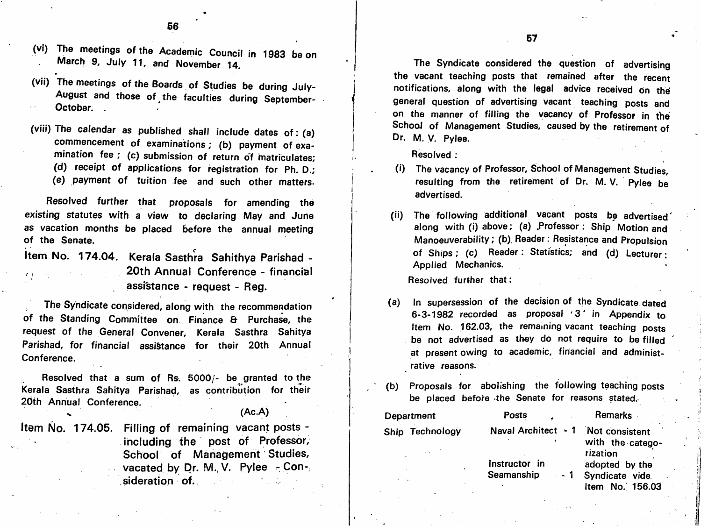- (VI) The meetings of the Academic Council in 1983 be on March 9, July 11, and November 14.
- (vii) The meetings of the Boards of Studies be during July-August and those of the faculties during September-October.
- (viii) The calendar as published shall include dates of: (a) commencement of examinations; (b) payment of examination fee ; (c) submission of return of matriculates; (d) receipt of applications for registration for Ph. D.; (e) payment of tuition fee and such other matters.

Resolved further that proposals for amending the existing statutes with a view to declaring May and June as vacation months be placed before the annual meeting of the Senate,

item No. 174.04. Kerala Sasthra Sahithya Parishad - 20th Annual Conference - financial assi'stance - request - Reg. / f

The Syndicate considered, along with the recommendation of the Standing Committee on Finance & Purchase, the request of the General Convener, Kerala Sasthra Sahitya Parishad, for financial assistance for their 20th Annual Conference.

Resolved that a sum of Rs. 5000/- be granted to the Kerala Sasthra Sahitya Parishad, as contribution for their 20th Annual Conference.  $(Ac.A)$ 

Item No. 174.05. Filling of remaining vacant posts including the post of Professor, School of Management Studies, vacated by Dr. M., V. Pylee  $-$  Consideration of.

The Syndicate considered the question of advertising the vacant teaching posts that remained after the recent notifications, along with the legal advice received on the general question of advertising vacant teaching posts and on the manner of filling the vacancy of Professor in the School of Management Studies, caused by the retirement of Dr. M. V. Pylee.

Resolved :

- (i) The vacancy of Professor, School of Management Studies, resulting from the retirement of Dr. M. V. Pylee be advertised,
- (ii) The following additional vacant posts be advertised' along with (i) above; (a) .Professor: Ship Motion and Manoeuverability; (b). Reader: Resistance and Propulsion of Ships; (c) Reader: Statistics; and (d) Lecturer: Applied Mechanics.

Resolved further that:

- (a) In supersession of the decision of the Syndicate, dated 6-3-1982 recorded as proposal '3' in Appendix to Item No. 162.03, the remaining vacant teaching posts be not advertised as they do not require to be filled at present owing to academic, financial and administ rative reasons.
- (b) Proposals for abolishing the following teaching posts be placed before the Senate for reasons stated.

| Department      | <b>Posts</b>        | <b>Remarks</b>                                 |
|-----------------|---------------------|------------------------------------------------|
| Ship Technology | Naval Architect - 1 | Not consistent<br>with the catego-<br>rization |
|                 | Instructor in       | adopted by the                                 |

Seamanship

adopted by the - 1 Syndicate vide. Item No. 156.03 4 .